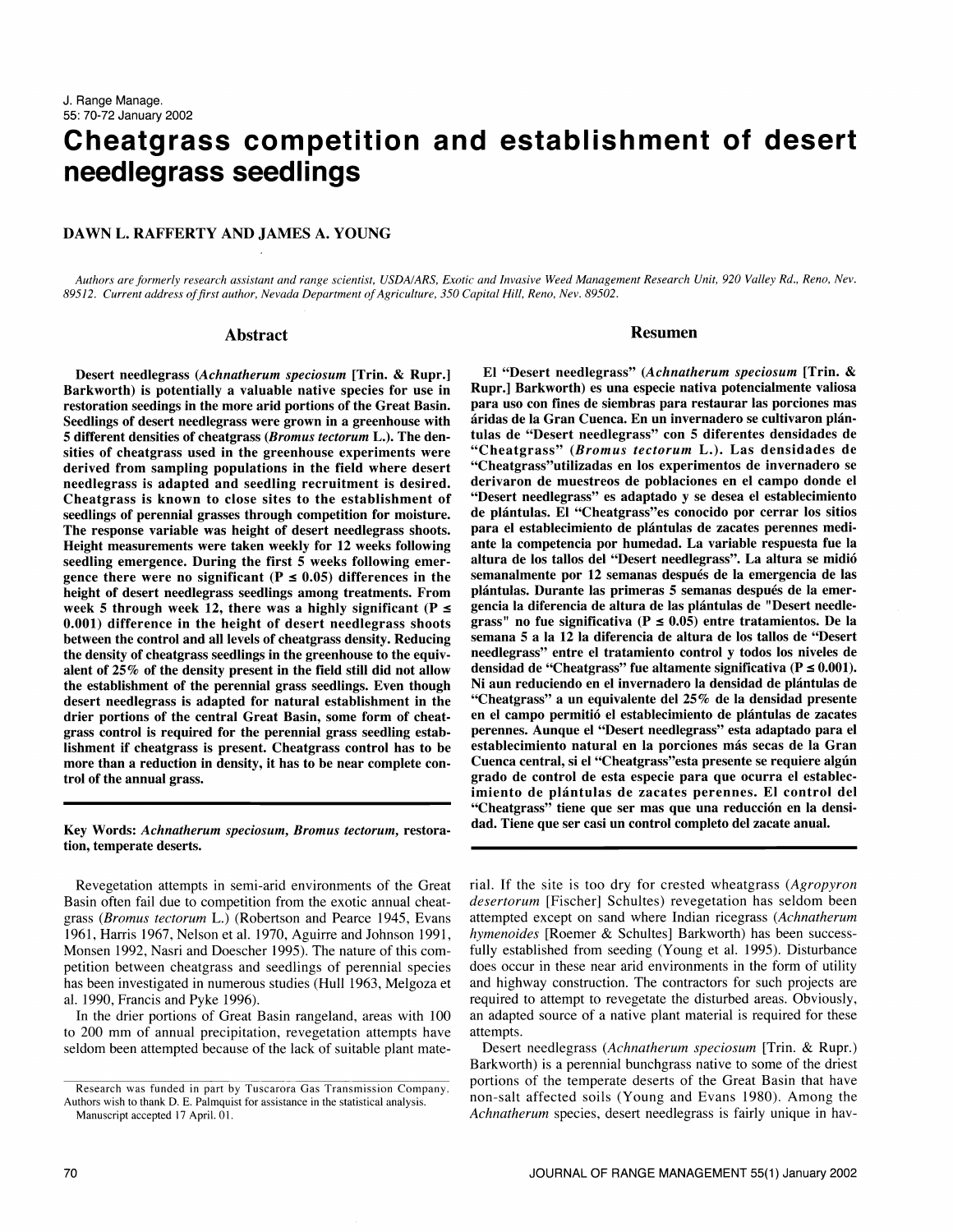# Cheatgrass competition and establishment of desert need legrass seedlings

# DAWN L. RAFFERTY AND JAMES A. YOUNG

Authors are formerly research assistant and range scientist, USDA/ARS, Exotic and Invasive Weed Management Research Unit, 920 Valley Rd., Reno, Nev. 89512. Current address of first author, Nevada Department of Agriculture, 350 Capital Hill, Reno, Nev. 89502.

#### Abstract

Desert needlegrass (Achnatherum speciosum [Trin. & Rupr.] Barkworth) is potentially a valuable native species for use in restoration seedings in the more arid portions of the Great Basin. Seedlings of desert needlegrass were grown in a greenhouse with 5 different densities of cheatgrass (Bromus tectorum L.). The densities of cheatgrass used in the greenhouse experiments were derived from sampling populations in the field where desert needlegrass is adapted and seedling recruitment is desired. Cheatgrass is known to close sites to the establishment of seedlings of perennial grasses through competition for moisture. The response variable was height of desert needlegrass shoots. Height measurements were taken weekly for 12 weeks following seedling emergence. During the first 5 weeks following emer- altura de los tallos del "Desert needlegrass". La altura se midió<br>gence there were no significant (P ≤ 0.05) differences in the semanalmente por 12 semanas desp height of desert needlegrass seedlings among treatments. From week 5 through week 12, there was a highly significant ( $P \le$ 0.001) difference in the height of desert needlegrass shoots between the control and all levels of cheatgrass density. Reducing the density of cheatgrass seedlings in the greenhouse to the equivalent of 25% of the density present in the field still did not allow the establishment of the perennial grass seedlings. Even though desert needlegrass is adapted for natural establishment in the drier portions of the central Great Basin, some form of cheatgrass control is required for the perennial grass seedling establishment if cheatgrass is present. Cheatgrass control has to be more than a reduction in density, it has to be near complete con trol of the annual grass.

Key Words: Achnatherum speciosum, Bromus tectorum, restoration, temperate deserts.

Revegetation attempts in semi-arid environments of the Great Basin often fail due to competition from the exotic annual cheatgrass (Bromus tectorum L.) (Robertson and Pearce 1945, Evans attempted except on sand where Indian ricegrass (Achnatherum 1961, Harris 1967, Nelson et al. 1970, Aguirre and Johnson 1991, *hymenoides* [Roemer & Schultes] Ba 1961, Harris 1967, Nelson et al. 1970, Aguirre and Johnson 1991, Monsen 1992, Nasri and Doescher 1995). The nature of this com petition between cheatgrass and seedlings of perennial species has been investigated in numerous studies (Hull 1963, Melgoza et and highway construction. The contractors for such projects are al. 1990. Francis and Pyke 1996). al. 1990, Francis and Pyke 1996).

In the drier portions of Great Basin rangeland, areas with 100 to 200 mm of annual precipitation, revegetation attempts have seldom been attempted because of the lack of suitable plant mate-

#### Resumen

El "Desert needlegrass" (Achnatherum speciosum [Trip. & Rupr.] Barkworth) es una especie nativa potencialmente valiosa para uso con fines de siembras para restaurar las porciones mas áridas de la Gran Cuenca. En un invernadero se cultivaron plántulas de "Desert needlegrass" con 5 diferentes densidades de "Cheatgrass" (Bromus tectorum L.). Las densidades de "Cheatgrass"utilizadas en los experimentos de invernadero se derivaron de muestreos de poblaciones en el campo donde el "Desert needlegrass" es adaptado y se desea el establecimiento de plantulas. El "Cheatgrass"es conocido por cerrar los sitios para el establecimiento de plantulas de zacates perennes mediante la competencia por humedad. La variable respuesta fue la altura de los tallos del "Desert needlegrass". La altura se midio semanalmente por 12 semanas después de la emergencia de las gencia la diferencia de altura de las plántulas de "Desert needlegrass" no fue significativa ( $P \le 0.05$ ) entre tratamientos. De la semana 5 a la 12 la diferencia de altura de los tallos de "Desert needlegrass" entre el tratamiento control y todos los niveles de densidad de "Cheatgrass" fue altamente significativa ( $P \le 0.001$ ). Ni aun reduciendo en el invernadero la densidad de plántulas de "Cheatgrass" a un equivalente del 25% de la densidad presente en el campo permitió el establecimiento de plántulas de zacates perennes. Aunque el "Desert needlegrass" esta adaptado para el establecimiento natural en la porciones más secas de la Gran Cuenca central, si el "Cheatgrass"esta presente se requiere algun grado de control de esta especie para que ocurra el establecimiento de plantulas de zacates perennes. El control del "Cheatgrass" tiene que ser mas que una reduccion en la densidad. Tiene que ser casi un control completo del zacate anual.

rial. If the site is too dry for crested wheatgrass (Agropyron desertorum [Fischer] Schultes) revegetation has seldom been attempted except on sand where Indian ricegrass (Achnatherum fully established from seeding (Young et al. 1995). Disturbance does occur in these near arid environments in the form of utility and highway construction. The contractors for such projects are an adapted source of a native plant material is required for these attempts.

Desert needlegrass (Achnatherum speciosum [Trin. & Rupr.) Barkworth) is a perennial bunchgrass native to some of the driest portions of the temperate deserts of the Great Basin that have non-salt affected soils (Young and Evans 1980). Among the Achnatherum species, desert needlegrass is fairly unique in hav-

Research was funded in part by Tuscarora Gas Transmission Company. Authors wish to thank D. E. Palmquist for assistance in the statistical analysis.

Manuscript accepted 17 April. 01.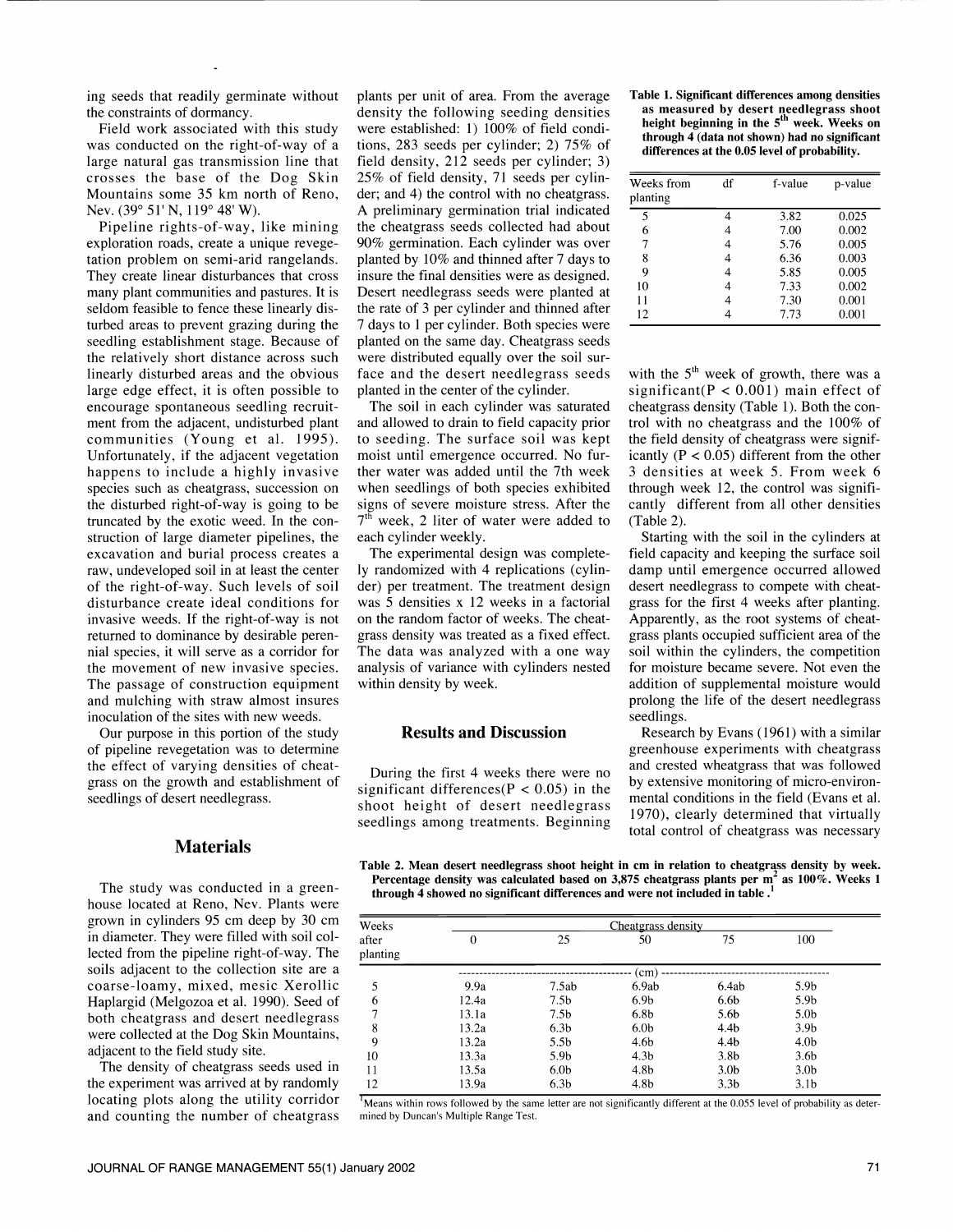ing seeds that readily germinate without the constraints of dormancy.

Field work associated with this study was conducted on the right-of-way of a large natural gas transmission line that crosses the base of the Dog Skin Mountains some 35 km north of Reno, Nev. (39° 51' N,119° 48' W).

exploration roads, create a unique revegetation problem on semi-arid rangelands.<br>They create linear disturbances that cross many plant communities and pastures. It is seldom feasible to fence these linearly disturbed areas to prevent grazing during the 7 days to 1 per cylinder. Both species were seedling establishment stage. Because of planted on the same day. Cheatgrass seeds the relatively short distance across such were distributed equally over the soil surthe relatively short distance across such linearly disturbed areas and the obvious large edge effect, it is often possible to encourage spontaneous seedling recruitment from the adjacent, undisturbed plant communities (Young et al. 1995). Unfortunately, if the adjacent vegetation happens to include a highly invasive<br>species such as cheatgrass, succession on the disturbed right-of-way is going to be truncated by the exotic weed. In the con struction of large diameter pipelines, the excavation and burial process creates a raw, undeveloped soil in at least the center of the right-of-way. Such levels of soil disturbance create ideal conditions for invasive weeds. If the right-of-way is not returned to dominance by desirable perennial species, it will serve as a corridor for the movement of new invasive species. The passage of construction equipment and mulching with straw almost insures inoculation of the sites with new weeds.

Our purpose in this portion of the study of pipeline revegetation was to determine the effect of varying densities of cheatgrass on the growth and establishment of seedlings of desert needlegrass.

# **Materials**

The study was conducted in a greenhouse located at Reno, Nev. Plants were grown in cylinders 95 cm deep by 30 cm in diameter. They were filled with soil collected from the pipeline right-of-way. The soils adjacent to the collection site are a coarse-loamy, mixed, mesic Xerollic Haplargid (Melgozoa et al. 1990). Seed of both cheatgrass and desert needlegrass were collected at the Dog Skin Mountains, adjacent to the field study site.

The density of cheatgrass seeds used in the experiment was arrived at by randomly locating plots along the utility corridor and counting the number of cheatgrass

Pipeline rights-of-way, like mining the cheatgrass seeds collected had about sploration roads, create a unique revege- 90% germination. Each cylinder was over plants per unit of area. From the average density the following seeding densities were established: 1) 100% of field conditions, 283 seeds per cylinder; 2) 75% of field density, 212 seeds per cylinder; 3) 25% of field density, 71 seeds per cylinder; and 4) the control with no cheatgrass. A preliminary germination trial indicated the cheatgrass seeds collected had about planted by  $10\%$  and thinned after 7 days to insure the final densities were as designed. Desert needlegrass seeds were planted at the rate of 3 per cylinder and thinned after planted on the same day. Cheatgrass seeds face and the desert needlegrass seeds with the  $5<sup>th</sup>$  week of growth, there was a planted in the center of the cylinder.

> and allowed to drain to field capacity prior to seeding. The surface soil was kept moist until emergence occurred. No further water was added until the 7th week when seedlings of both species exhibited signs of severe moisture stress. After the 7th week, 2 liter of water were added to each cylinder weekly.

> The experimental design was completely randomized with 4 replications (cylinder) per treatment. The treatment design was 5 densities x 12 weeks in a factorial on the random factor of weeks. The cheatgrass density was treated as a fixed effect. The data was analyzed with a one way analysis of variance with cylinders nested within density by week.

# Results and Discussion

During the first 4 weeks there were no significant differences( $P < 0.05$ ) in the shoot height of desert needlegrass seedlings among treatments. Beginning

Table 1. Significant differences among densities as measured by desert needlegrass shoot<br>height beginning in the 5<sup>th</sup> week. Weeks on through 4 (data not shown) had no significant differences at the 0.05 level of probability.

| Weeks from<br>planting | df | f-value | p-value |
|------------------------|----|---------|---------|
| 5                      |    | 3.82    | 0.025   |
| 6                      |    | 7.00    | 0.002   |
| 7                      |    | 5.76    | 0.005   |
| 8                      |    | 6.36    | 0.003   |
| 9                      |    | 5.85    | 0.005   |
| 10                     |    | 7.33    | 0.002   |
| 11                     |    | 7.30    | 0.001   |
| 12                     |    | 7.73    | 0.001   |

The soil in each cylinder was saturated cheatgrass density (Table 1). Both the consignificant(P <  $0.001$ ) main effect of trol with no cheatgrass and the  $100\%$  of the field density of cheatgrass were significantly ( $P < 0.05$ ) different from the other <sup>3</sup>densities at week 5. From week 6 through week 12, the control was significantly different from all other densities (Table 2).

Starting with the soil in the cylinders at field capacity and keeping the surface soil damp until emergence occurred allowed desert needlegrass to compete with cheatgrass for the first 4 weeks after planting. Apparently, as the root systems of cheatgrass plants occupied sufficient area of the soil within the cylinders, the competition for moisture became severe. Not even the addition of supplemental moisture would prolong the life of the desert needlegrass seedlings.

Research by Evans (1961) with a similar greenhouse experiments with cheatgrass and crested wheatgrass that was followed by extensive monitoring of micro-environmental conditions in the field (Evans et al. 1970), clearly determined that virtually total control of cheatgrass was necessary

Table 2. Mean desert needlegrass shoot height in cm in relation to cheatgrass density by week. Percentage density was calculated based on 3,875 cheatgrass plants per  $m<sup>2</sup>$  as 100%. Weeks 1 through 4 showed no significant differences and were not included in table .'

| Weeks<br>after<br>planting | Cheatgrass density |                  |                  |                  |                  |  |
|----------------------------|--------------------|------------------|------------------|------------------|------------------|--|
|                            | 0                  | 25               | 50               | 75               | 100              |  |
|                            |                    |                  | (cm)             |                  |                  |  |
| 5                          | 9.9a               | 7.5ab            | 6.9ab            | 6.4ab            | 5.9 <sub>b</sub> |  |
| 6                          | 12.4a              | 7.5 <sub>b</sub> | 6.9 <sub>b</sub> | 6.6b             | 5.9 <sub>b</sub> |  |
| ┑                          | 13.1a              | 7.5 <sub>b</sub> | 6.8 <sub>b</sub> | 5.6b             | 5.0 <sub>b</sub> |  |
| 8                          | 13.2a              | 6.3 <sub>b</sub> | 6.0 <sub>b</sub> | 4.4 <sub>b</sub> | 3.9 <sub>b</sub> |  |
| 9                          | 13.2a              | 5.5 <sub>b</sub> | 4.6b             | 4.4 <sub>b</sub> | 4.0 <sub>b</sub> |  |
| 10                         | 13.3a              | 5.9 <sub>b</sub> | 4.3 <sub>b</sub> | 3.8 <sub>b</sub> | 3.6 <sub>b</sub> |  |
| 11                         | 13.5a              | 6.0 <sub>b</sub> | 4.8b             | 3.0 <sub>b</sub> | 3.0 <sub>b</sub> |  |
| 12                         | 13.9a              | 6.3 <sub>b</sub> | 4.8b             | 3.3 <sub>b</sub> | 3.1 <sub>b</sub> |  |

 $<sup>1</sup>$ Means within rows followed by the same letter are not significantly different at the 0.055 level of probability as deter-</sup> mined by Duncan's Multiple Range Test.